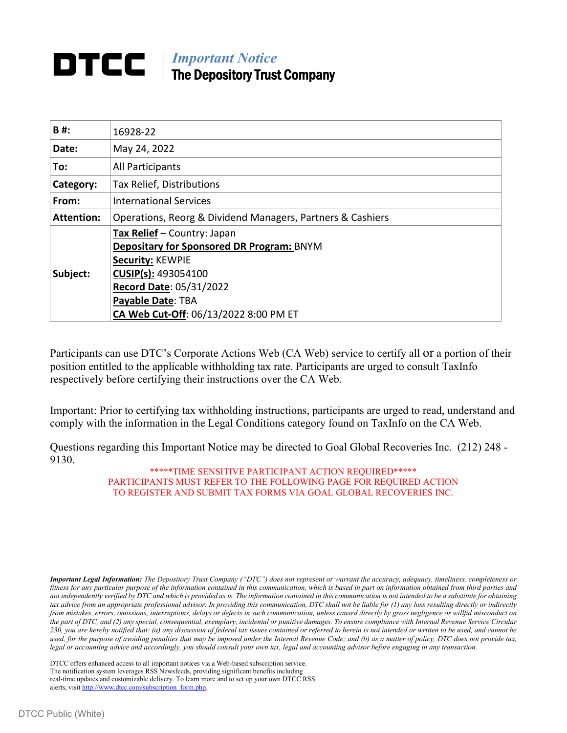# **DTCC** | *Important Notice* The Depository Trust Company

| <b>B#:</b>        | 16928-22                                                   |
|-------------------|------------------------------------------------------------|
| Date:             | May 24, 2022                                               |
| To:               | All Participants                                           |
| Category:         | Tax Relief, Distributions                                  |
| From:             | <b>International Services</b>                              |
| <b>Attention:</b> | Operations, Reorg & Dividend Managers, Partners & Cashiers |
|                   | Tax Relief - Country: Japan                                |
|                   | Depositary for Sponsored DR Program: BNYM                  |
|                   | Security: KEWPIE                                           |
| Subject:          | CUSIP(s): 493054100                                        |
|                   | Record Date: 05/31/2022                                    |
|                   | Payable Date: TBA                                          |
|                   | CA Web Cut-Off: 06/13/2022 8:00 PM ET                      |

Participants can use DTC's Corporate Actions Web (CA Web) service to certify all or a portion of their position entitled to the applicable withholding tax rate. Participants are urged to consult TaxInfo respectively before certifying their instructions over the CA Web.

Important: Prior to certifying tax withholding instructions, participants are urged to read, understand and comply with the information in the Legal Conditions category found on TaxInfo on the CA Web.

Questions regarding this Important Notice may be directed to Goal Global Recoveries Inc. (212) 248 - 9130.

> \*\*\*\*\*TIME SENSITIVE PARTICIPANT ACTION REQUIRED\*\*\*\*\* PARTICIPANTS MUST REFER TO THE FOLLOWING PAGE FOR REQUIRED ACTION TO REGISTER AND SUBMIT TAX FORMS VIA GOAL GLOBAL RECOVERIES INC.

*Important Legal Information: The Depository Trust Company ("DTC") does not represent or warrant the accuracy, adequacy, timeliness, completeness or fitness for any particular purpose of the information contained in this communication, which is based in part on information obtained from third parties and not independently verified by DTC and which is provided as is. The information contained in this communication is not intended to be a substitute for obtaining tax advice from an appropriate professional advisor. In providing this communication, DTC shall not be liable for (1) any loss resulting directly or indirectly from mistakes, errors, omissions, interruptions, delays or defects in such communication, unless caused directly by gross negligence or willful misconduct on the part of DTC, and (2) any special, consequential, exemplary, incidental or punitive damages. To ensure compliance with Internal Revenue Service Circular 230, you are hereby notified that: (a) any discussion of federal tax issues contained or referred to herein is not intended or written to be used, and cannot be*  used, for the purpose of avoiding penalties that may be imposed under the Internal Revenue Code; and (b) as a matter of policy, DTC does not provide tax, *legal or accounting advice and accordingly, you should consult your own tax, legal and accounting advisor before engaging in any transaction.*

DTCC offers enhanced access to all important notices via a Web-based subscription service. The notification system leverages RSS Newsfeeds, providing significant benefits including real-time updates and customizable delivery. To learn more and to set up your own DTCC RSS alerts, visit [http://www.dtcc.com/subscription\\_form.php.](http://www.dtcc.com/subscription_form.php)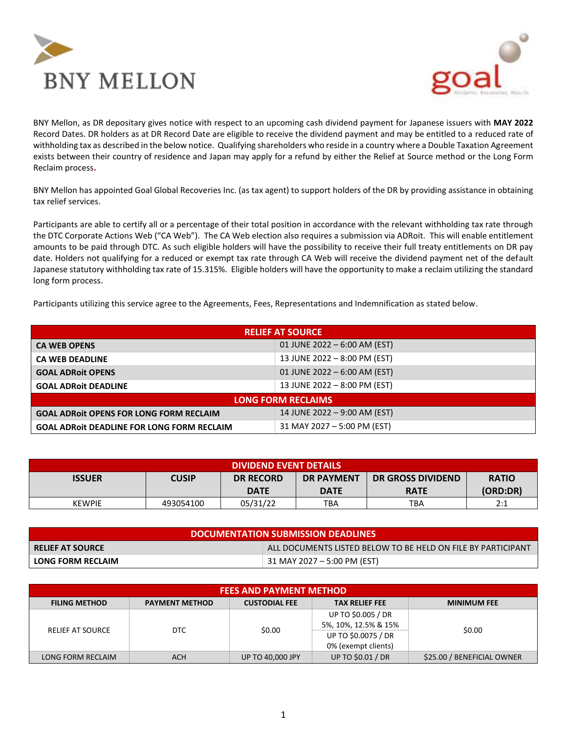



BNY Mellon, as DR depositary gives notice with respect to an upcoming cash dividend payment for Japanese issuers with **MAY 2022** Record Dates. DR holders as at DR Record Date are eligible to receive the dividend payment and may be entitled to a reduced rate of withholding tax as described in the below notice. Qualifying shareholders who reside in a country where a Double Taxation Agreement exists between their country of residence and Japan may apply for a refund by either the Relief at Source method or the Long Form Reclaim process**.** 

BNY Mellon has appointed Goal Global Recoveries Inc. (as tax agent) to support holders of the DR by providing assistance in obtaining tax relief services.

Participants are able to certify all or a percentage of their total position in accordance with the relevant withholding tax rate through the DTC Corporate Actions Web ("CA Web"). The CA Web election also requires a submission via ADRoit. This will enable entitlement amounts to be paid through DTC. As such eligible holders will have the possibility to receive their full treaty entitlements on DR pay date. Holders not qualifying for a reduced or exempt tax rate through CA Web will receive the dividend payment net of the default Japanese statutory withholding tax rate of 15.315%. Eligible holders will have the opportunity to make a reclaim utilizing the standard long form process.

Participants utilizing this service agree to the Agreements, Fees, Representations and Indemnification as stated below.

| <b>RELIEF AT SOURCE</b>                           |                              |  |
|---------------------------------------------------|------------------------------|--|
| <b>CA WEB OPENS</b>                               | 01 JUNE 2022 - 6:00 AM (EST) |  |
| <b>CA WEB DEADLINE</b>                            | 13 JUNE 2022 - 8:00 PM (EST) |  |
| <b>GOAL ADRoit OPENS</b>                          | 01 JUNE 2022 - 6:00 AM (EST) |  |
| <b>GOAL ADROIT DEADLINE</b>                       | 13 JUNE 2022 - 8:00 PM (EST) |  |
|                                                   | <b>LONG FORM RECLAIMS</b>    |  |
| <b>GOAL ADROIT OPENS FOR LONG FORM RECLAIM</b>    | 14 JUNE 2022 - 9:00 AM (EST) |  |
| <b>GOAL ADROIT DEADLINE FOR LONG FORM RECLAIM</b> | 31 MAY 2027 - 5:00 PM (EST)  |  |

| <b>DIVIDEND EVENT DETAILS</b> |              |                  |                   |                          |              |
|-------------------------------|--------------|------------------|-------------------|--------------------------|--------------|
| <b>ISSUER</b>                 | <b>CUSIP</b> | <b>DR RECORD</b> | <b>DR PAYMENT</b> | <b>DR GROSS DIVIDEND</b> | <b>RATIO</b> |
|                               |              | <b>DATE</b>      | <b>DATE</b>       | <b>RATE</b>              | (ORD:DR)     |
| <b>KEWPIE</b>                 | 493054100    | 05/31/22         | TBA               | TBA                      | 2:1          |

| DOCUMENTATION SUBMISSION DEADLINES |                                                              |  |
|------------------------------------|--------------------------------------------------------------|--|
| <b>I RELIEF AT SOURCE</b>          | ALL DOCUMENTS LISTED BELOW TO BE HELD ON FILE BY PARTICIPANT |  |
| <b>LONG FORM RECLAIM</b>           | 31 MAY 2027 - 5:00 PM (EST)                                  |  |

| <b>FEES AND PAYMENT METHOD</b> |                       |                         |                       |                            |  |
|--------------------------------|-----------------------|-------------------------|-----------------------|----------------------------|--|
| <b>FILING METHOD</b>           | <b>PAYMENT METHOD</b> | <b>CUSTODIAL FEE</b>    | <b>TAX RELIEF FEE</b> | <b>MINIMUM FEE</b>         |  |
| <b>RELIEF AT SOURCE</b>        | DTC.                  |                         | UP TO \$0.005 / DR    |                            |  |
|                                |                       | \$0.00                  | 5%, 10%, 12.5% & 15%  | \$0.00                     |  |
|                                |                       |                         | UP TO \$0.0075 / DR   |                            |  |
|                                |                       |                         | 0% (exempt clients)   |                            |  |
| LONG FORM RECLAIM              | ACH                   | <b>UP TO 40,000 JPY</b> | UP TO \$0.01 / DR     | \$25.00 / BENEFICIAL OWNER |  |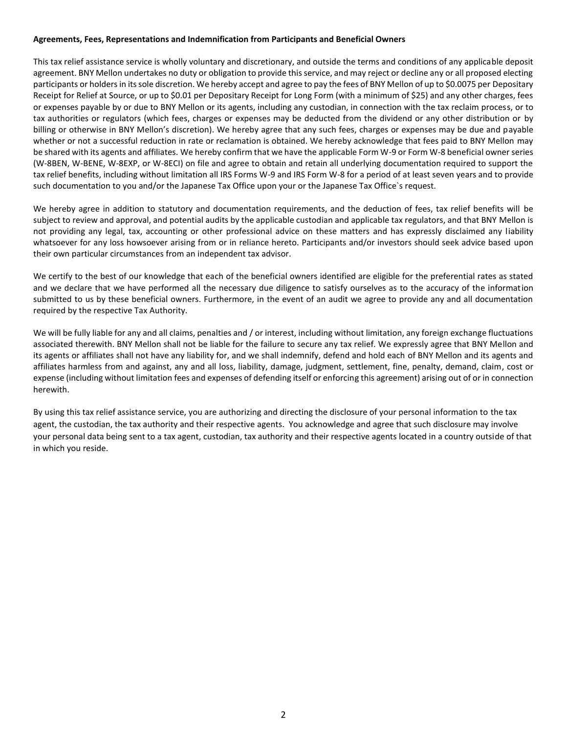## **Agreements, Fees, Representations and Indemnification from Participants and Beneficial Owners**

This tax relief assistance service is wholly voluntary and discretionary, and outside the terms and conditions of any applicable deposit agreement. BNY Mellon undertakes no duty or obligation to provide this service, and may reject or decline any or all proposed electing participants or holders in its sole discretion. We hereby accept and agree to pay the fees of BNY Mellon of up to \$0.0075 per Depositary Receipt for Relief at Source, or up to \$0.01 per Depositary Receipt for Long Form (with a minimum of \$25) and any other charges, fees or expenses payable by or due to BNY Mellon or its agents, including any custodian, in connection with the tax reclaim process, or to tax authorities or regulators (which fees, charges or expenses may be deducted from the dividend or any other distribution or by billing or otherwise in BNY Mellon's discretion). We hereby agree that any such fees, charges or expenses may be due and payable whether or not a successful reduction in rate or reclamation is obtained. We hereby acknowledge that fees paid to BNY Mellon may be shared with its agents and affiliates. We hereby confirm that we have the applicable Form W-9 or Form W-8 beneficial owner series (W-8BEN, W-BENE, W-8EXP, or W-8ECI) on file and agree to obtain and retain all underlying documentation required to support the tax relief benefits, including without limitation all IRS Forms W-9 and IRS Form W-8 for a period of at least seven years and to provide such documentation to you and/or the Japanese Tax Office upon your or the Japanese Tax Office`s request.

We hereby agree in addition to statutory and documentation requirements, and the deduction of fees, tax relief benefits will be subject to review and approval, and potential audits by the applicable custodian and applicable tax regulators, and that BNY Mellon is not providing any legal, tax, accounting or other professional advice on these matters and has expressly disclaimed any liability whatsoever for any loss howsoever arising from or in reliance hereto. Participants and/or investors should seek advice based upon their own particular circumstances from an independent tax advisor.

We certify to the best of our knowledge that each of the beneficial owners identified are eligible for the preferential rates as stated and we declare that we have performed all the necessary due diligence to satisfy ourselves as to the accuracy of the information submitted to us by these beneficial owners. Furthermore, in the event of an audit we agree to provide any and all documentation required by the respective Tax Authority.

We will be fully liable for any and all claims, penalties and / or interest, including without limitation, any foreign exchange fluctuations associated therewith. BNY Mellon shall not be liable for the failure to secure any tax relief. We expressly agree that BNY Mellon and its agents or affiliates shall not have any liability for, and we shall indemnify, defend and hold each of BNY Mellon and its agents and affiliates harmless from and against, any and all loss, liability, damage, judgment, settlement, fine, penalty, demand, claim, cost or expense (including without limitation fees and expenses of defending itself or enforcing this agreement) arising out of or in connection herewith.

By using this tax relief assistance service, you are authorizing and directing the disclosure of your personal information to the tax agent, the custodian, the tax authority and their respective agents. You acknowledge and agree that such disclosure may involve your personal data being sent to a tax agent, custodian, tax authority and their respective agents located in a country outside of that in which you reside.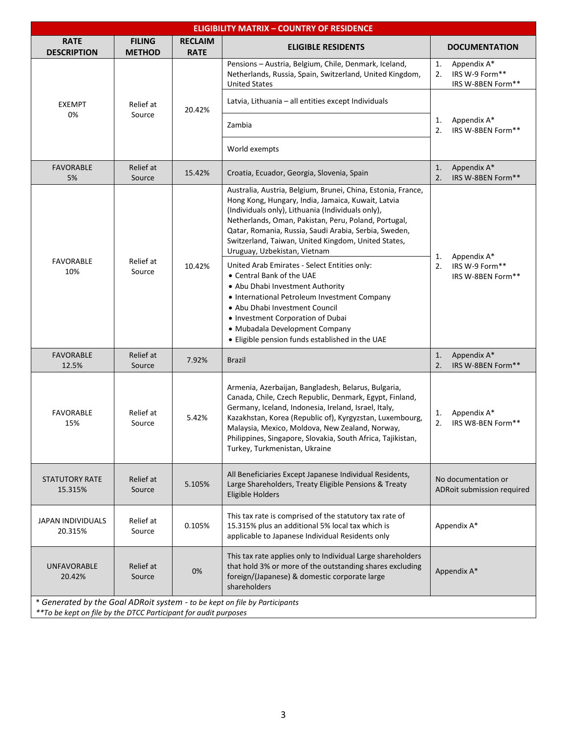| <b>ELIGIBILITY MATRIX - COUNTRY OF RESIDENCE</b>                |                                |                                                                                                                                                                                                                                                                                                                                                                                 |                                                                                                                                                                                                                                                                                                                                                                                       |                                                                |
|-----------------------------------------------------------------|--------------------------------|---------------------------------------------------------------------------------------------------------------------------------------------------------------------------------------------------------------------------------------------------------------------------------------------------------------------------------------------------------------------------------|---------------------------------------------------------------------------------------------------------------------------------------------------------------------------------------------------------------------------------------------------------------------------------------------------------------------------------------------------------------------------------------|----------------------------------------------------------------|
| <b>RATE</b><br><b>DESCRIPTION</b>                               | <b>FILING</b><br><b>METHOD</b> | <b>RECLAIM</b><br><b>RATE</b>                                                                                                                                                                                                                                                                                                                                                   | <b>ELIGIBLE RESIDENTS</b>                                                                                                                                                                                                                                                                                                                                                             | <b>DOCUMENTATION</b>                                           |
|                                                                 |                                |                                                                                                                                                                                                                                                                                                                                                                                 | Pensions - Austria, Belgium, Chile, Denmark, Iceland,<br>Netherlands, Russia, Spain, Switzerland, United Kingdom,<br><b>United States</b>                                                                                                                                                                                                                                             | Appendix A*<br>1.<br>IRS W-9 Form**<br>2.<br>IRS W-8BEN Form** |
| <b>EXEMPT</b>                                                   | Relief at                      | 20.42%                                                                                                                                                                                                                                                                                                                                                                          | Latvia, Lithuania - all entities except Individuals                                                                                                                                                                                                                                                                                                                                   |                                                                |
| 0%                                                              | Source                         |                                                                                                                                                                                                                                                                                                                                                                                 | Zambia                                                                                                                                                                                                                                                                                                                                                                                | Appendix A*<br>1.<br>2.<br>IRS W-8BEN Form**                   |
|                                                                 |                                |                                                                                                                                                                                                                                                                                                                                                                                 | World exempts                                                                                                                                                                                                                                                                                                                                                                         |                                                                |
| <b>FAVORABLE</b><br>5%                                          | Relief at<br>Source            | 15.42%                                                                                                                                                                                                                                                                                                                                                                          | Croatia, Ecuador, Georgia, Slovenia, Spain                                                                                                                                                                                                                                                                                                                                            | Appendix A*<br>1.<br>2.<br>IRS W-8BEN Form**                   |
|                                                                 |                                | Australia, Austria, Belgium, Brunei, China, Estonia, France,<br>Hong Kong, Hungary, India, Jamaica, Kuwait, Latvia<br>(Individuals only), Lithuania (Individuals only),<br>Netherlands, Oman, Pakistan, Peru, Poland, Portugal,<br>Qatar, Romania, Russia, Saudi Arabia, Serbia, Sweden,<br>Switzerland, Taiwan, United Kingdom, United States,<br>Uruguay, Uzbekistan, Vietnam | Appendix A*<br>1.                                                                                                                                                                                                                                                                                                                                                                     |                                                                |
| <b>FAVORABLE</b><br>10%                                         | Relief at<br>Source            | 10.42%                                                                                                                                                                                                                                                                                                                                                                          | United Arab Emirates - Select Entities only:<br>• Central Bank of the UAE<br>• Abu Dhabi Investment Authority<br>• International Petroleum Investment Company<br>• Abu Dhabi Investment Council<br>• Investment Corporation of Dubai<br>• Mubadala Development Company<br>. Eligible pension funds established in the UAE                                                             | 2.<br>IRS W-9 Form**<br>IRS W-8BEN Form**                      |
| <b>FAVORABLE</b><br>12.5%                                       | Relief at<br>Source            | 7.92%                                                                                                                                                                                                                                                                                                                                                                           | <b>Brazil</b>                                                                                                                                                                                                                                                                                                                                                                         | Appendix A*<br>1.<br>2.<br>IRS W-8BEN Form**                   |
| <b>FAVORABLE</b><br>15%                                         | Relief at<br>Source            | 5.42%                                                                                                                                                                                                                                                                                                                                                                           | Armenia, Azerbaijan, Bangladesh, Belarus, Bulgaria,<br>Canada, Chile, Czech Republic, Denmark, Egypt, Finland,<br>Germany, Iceland, Indonesia, Ireland, Israel, Italy,<br>Kazakhstan, Korea (Republic of), Kyrgyzstan, Luxembourg,<br>Malaysia, Mexico, Moldova, New Zealand, Norway,<br>Philippines, Singapore, Slovakia, South Africa, Tajikistan,<br>Turkey, Turkmenistan, Ukraine | Appendix A*<br>1.<br>2.<br>IRS W8-BEN Form**                   |
| STATUTORY RATE<br>15.315%                                       | Relief at<br>Source            | 5.105%                                                                                                                                                                                                                                                                                                                                                                          | All Beneficiaries Except Japanese Individual Residents,<br>Large Shareholders, Treaty Eligible Pensions & Treaty<br><b>Eligible Holders</b>                                                                                                                                                                                                                                           | No documentation or<br>ADRoit submission required              |
| JAPAN INDIVIDUALS<br>20.315%                                    | Relief at<br>Source            | 0.105%                                                                                                                                                                                                                                                                                                                                                                          | This tax rate is comprised of the statutory tax rate of<br>15.315% plus an additional 5% local tax which is<br>applicable to Japanese Individual Residents only                                                                                                                                                                                                                       | Appendix A*                                                    |
| <b>UNFAVORABLE</b><br>20.42%                                    | Relief at<br>Source            | 0%                                                                                                                                                                                                                                                                                                                                                                              | This tax rate applies only to Individual Large shareholders<br>that hold 3% or more of the outstanding shares excluding<br>foreign/(Japanese) & domestic corporate large<br>shareholders                                                                                                                                                                                              | Appendix A*                                                    |
| **To be kept on file by the DTCC Participant for audit purposes |                                |                                                                                                                                                                                                                                                                                                                                                                                 | * Generated by the Goal ADRoit system - to be kept on file by Participants                                                                                                                                                                                                                                                                                                            |                                                                |

*\*\*To be kept on file by the DTCC Participant for audit purposes*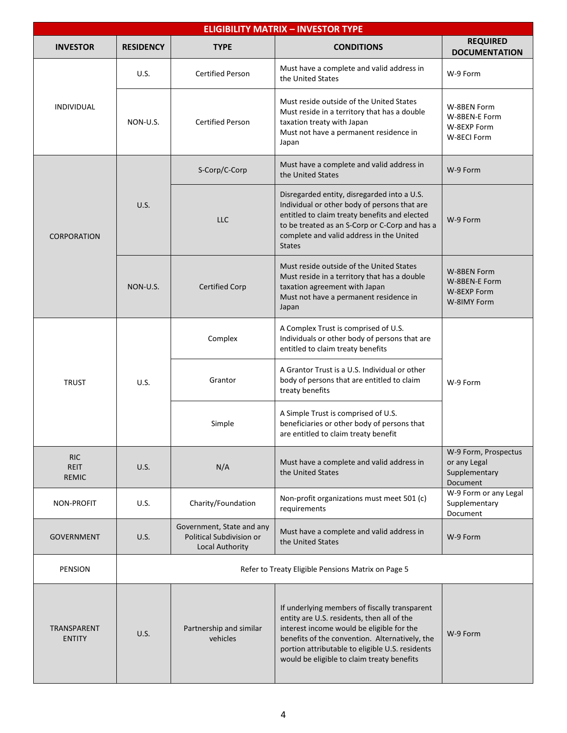| <b>ELIGIBILITY MATRIX - INVESTOR TYPE</b> |                  |                                                                          |                                                                                                                                                                                                                                                                                             |                                                                                                                |                                                                                                                            |
|-------------------------------------------|------------------|--------------------------------------------------------------------------|---------------------------------------------------------------------------------------------------------------------------------------------------------------------------------------------------------------------------------------------------------------------------------------------|----------------------------------------------------------------------------------------------------------------|----------------------------------------------------------------------------------------------------------------------------|
| <b>INVESTOR</b>                           | <b>RESIDENCY</b> | <b>TYPE</b>                                                              | <b>CONDITIONS</b>                                                                                                                                                                                                                                                                           | <b>REQUIRED</b><br><b>DOCUMENTATION</b>                                                                        |                                                                                                                            |
|                                           | U.S.             | <b>Certified Person</b>                                                  | Must have a complete and valid address in<br>the United States                                                                                                                                                                                                                              | W-9 Form                                                                                                       |                                                                                                                            |
| <b>INDIVIDUAL</b>                         | NON-U.S.         | <b>Certified Person</b>                                                  | Must reside outside of the United States<br>Must reside in a territory that has a double<br>taxation treaty with Japan<br>Must not have a permanent residence in<br>Japan                                                                                                                   | W-8BEN Form<br>W-8BEN-E Form<br>W-8EXP Form<br>W-8ECI Form                                                     |                                                                                                                            |
|                                           |                  | S-Corp/C-Corp                                                            | Must have a complete and valid address in<br>the United States                                                                                                                                                                                                                              | W-9 Form                                                                                                       |                                                                                                                            |
| <b>CORPORATION</b>                        | U.S.             | <b>LLC</b>                                                               | Disregarded entity, disregarded into a U.S.<br>Individual or other body of persons that are<br>entitled to claim treaty benefits and elected<br>to be treated as an S-Corp or C-Corp and has a<br>complete and valid address in the United<br><b>States</b>                                 | W-9 Form                                                                                                       |                                                                                                                            |
|                                           | NON-U.S.         | <b>Certified Corp</b>                                                    | Must reside outside of the United States<br>Must reside in a territory that has a double<br>taxation agreement with Japan<br>Must not have a permanent residence in<br>Japan                                                                                                                | W-8BEN Form<br>W-8BEN-E Form<br>W-8EXP Form<br>W-8IMY Form                                                     |                                                                                                                            |
|                                           | U.S.             | Complex                                                                  | A Complex Trust is comprised of U.S.<br>Individuals or other body of persons that are<br>entitled to claim treaty benefits                                                                                                                                                                  |                                                                                                                |                                                                                                                            |
| <b>TRUST</b>                              |                  |                                                                          | Grantor                                                                                                                                                                                                                                                                                     | A Grantor Trust is a U.S. Individual or other<br>body of persons that are entitled to claim<br>treaty benefits | W-9 Form                                                                                                                   |
|                                           |                  |                                                                          |                                                                                                                                                                                                                                                                                             | Simple                                                                                                         | A Simple Trust is comprised of U.S.<br>beneficiaries or other body of persons that<br>are entitled to claim treaty benefit |
| <b>RIC</b><br><b>REIT</b><br><b>REMIC</b> | U.S.             | N/A                                                                      | Must have a complete and valid address in<br>the United States                                                                                                                                                                                                                              | W-9 Form, Prospectus<br>or any Legal<br>Supplementary<br>Document                                              |                                                                                                                            |
| NON-PROFIT                                | U.S.             | Charity/Foundation                                                       | Non-profit organizations must meet 501 (c)<br>requirements                                                                                                                                                                                                                                  | W-9 Form or any Legal<br>Supplementary<br>Document                                                             |                                                                                                                            |
| <b>GOVERNMENT</b>                         | <b>U.S.</b>      | Government, State and any<br>Political Subdivision or<br>Local Authority | Must have a complete and valid address in<br>W-9 Form<br>the United States                                                                                                                                                                                                                  |                                                                                                                |                                                                                                                            |
| PENSION                                   |                  |                                                                          | Refer to Treaty Eligible Pensions Matrix on Page 5                                                                                                                                                                                                                                          |                                                                                                                |                                                                                                                            |
| TRANSPARENT<br><b>ENTITY</b>              | <b>U.S.</b>      | Partnership and similar<br>vehicles                                      | If underlying members of fiscally transparent<br>entity are U.S. residents, then all of the<br>interest income would be eligible for the<br>benefits of the convention. Alternatively, the<br>portion attributable to eligible U.S. residents<br>would be eligible to claim treaty benefits | W-9 Form                                                                                                       |                                                                                                                            |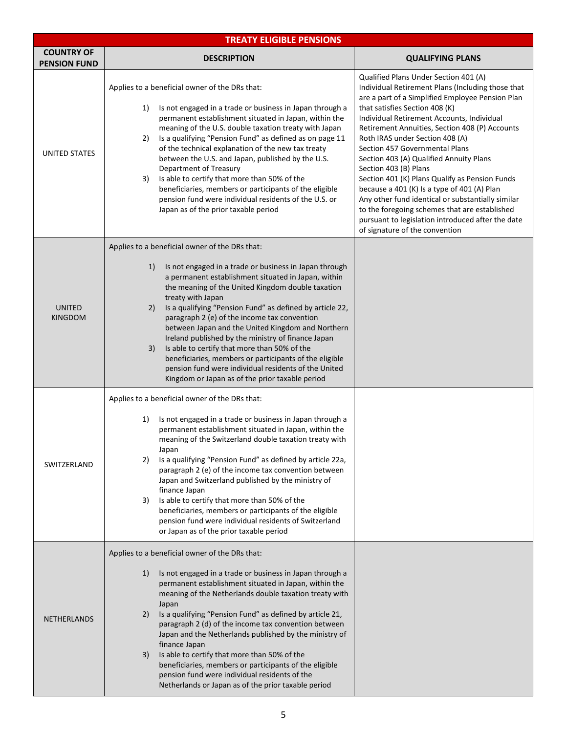|                                          | <b>TREATY ELIGIBLE PENSIONS</b>                                                                                                                                                                                                                                                                                                                                                                                                                                                                                                                                                                                                                                                                         |                                                                                                                                                                                                                                                                                                                                                                                                                                                                                                                                                                                                                                                                                                                         |  |  |
|------------------------------------------|---------------------------------------------------------------------------------------------------------------------------------------------------------------------------------------------------------------------------------------------------------------------------------------------------------------------------------------------------------------------------------------------------------------------------------------------------------------------------------------------------------------------------------------------------------------------------------------------------------------------------------------------------------------------------------------------------------|-------------------------------------------------------------------------------------------------------------------------------------------------------------------------------------------------------------------------------------------------------------------------------------------------------------------------------------------------------------------------------------------------------------------------------------------------------------------------------------------------------------------------------------------------------------------------------------------------------------------------------------------------------------------------------------------------------------------------|--|--|
| <b>COUNTRY OF</b><br><b>PENSION FUND</b> | <b>DESCRIPTION</b>                                                                                                                                                                                                                                                                                                                                                                                                                                                                                                                                                                                                                                                                                      | <b>QUALIFYING PLANS</b>                                                                                                                                                                                                                                                                                                                                                                                                                                                                                                                                                                                                                                                                                                 |  |  |
| <b>UNITED STATES</b>                     | Applies to a beneficial owner of the DRs that:<br>1)<br>Is not engaged in a trade or business in Japan through a<br>permanent establishment situated in Japan, within the<br>meaning of the U.S. double taxation treaty with Japan<br>Is a qualifying "Pension Fund" as defined as on page 11<br>2)<br>of the technical explanation of the new tax treaty<br>between the U.S. and Japan, published by the U.S.<br>Department of Treasury<br>Is able to certify that more than 50% of the<br>3)<br>beneficiaries, members or participants of the eligible<br>pension fund were individual residents of the U.S. or<br>Japan as of the prior taxable period                                               | Qualified Plans Under Section 401 (A)<br>Individual Retirement Plans (Including those that<br>are a part of a Simplified Employee Pension Plan<br>that satisfies Section 408 (K)<br>Individual Retirement Accounts, Individual<br>Retirement Annuities, Section 408 (P) Accounts<br>Roth IRAS under Section 408 (A)<br>Section 457 Governmental Plans<br>Section 403 (A) Qualified Annuity Plans<br>Section 403 (B) Plans<br>Section 401 (K) Plans Qualify as Pension Funds<br>because a 401 (K) Is a type of 401 (A) Plan<br>Any other fund identical or substantially similar<br>to the foregoing schemes that are established<br>pursuant to legislation introduced after the date<br>of signature of the convention |  |  |
| <b>UNITED</b><br><b>KINGDOM</b>          | Applies to a beneficial owner of the DRs that:<br>Is not engaged in a trade or business in Japan through<br>1)<br>a permanent establishment situated in Japan, within<br>the meaning of the United Kingdom double taxation<br>treaty with Japan<br>Is a qualifying "Pension Fund" as defined by article 22,<br>2)<br>paragraph 2 (e) of the income tax convention<br>between Japan and the United Kingdom and Northern<br>Ireland published by the ministry of finance Japan<br>Is able to certify that more than 50% of the<br>3)<br>beneficiaries, members or participants of the eligible<br>pension fund were individual residents of the United<br>Kingdom or Japan as of the prior taxable period |                                                                                                                                                                                                                                                                                                                                                                                                                                                                                                                                                                                                                                                                                                                         |  |  |
| SWITZERLAND                              | Applies to a beneficial owner of the DRs that:<br>Is not engaged in a trade or business in Japan through a<br>1)<br>permanent establishment situated in Japan, within the<br>meaning of the Switzerland double taxation treaty with<br>Japan<br>Is a qualifying "Pension Fund" as defined by article 22a,<br>2)<br>paragraph 2 (e) of the income tax convention between<br>Japan and Switzerland published by the ministry of<br>finance Japan<br>Is able to certify that more than 50% of the<br>3)<br>beneficiaries, members or participants of the eligible<br>pension fund were individual residents of Switzerland<br>or Japan as of the prior taxable period                                      |                                                                                                                                                                                                                                                                                                                                                                                                                                                                                                                                                                                                                                                                                                                         |  |  |
| <b>NETHERLANDS</b>                       | Applies to a beneficial owner of the DRs that:<br>Is not engaged in a trade or business in Japan through a<br>1)<br>permanent establishment situated in Japan, within the<br>meaning of the Netherlands double taxation treaty with<br>Japan<br>Is a qualifying "Pension Fund" as defined by article 21,<br>2)<br>paragraph 2 (d) of the income tax convention between<br>Japan and the Netherlands published by the ministry of<br>finance Japan<br>Is able to certify that more than 50% of the<br>3)<br>beneficiaries, members or participants of the eligible<br>pension fund were individual residents of the<br>Netherlands or Japan as of the prior taxable period                               |                                                                                                                                                                                                                                                                                                                                                                                                                                                                                                                                                                                                                                                                                                                         |  |  |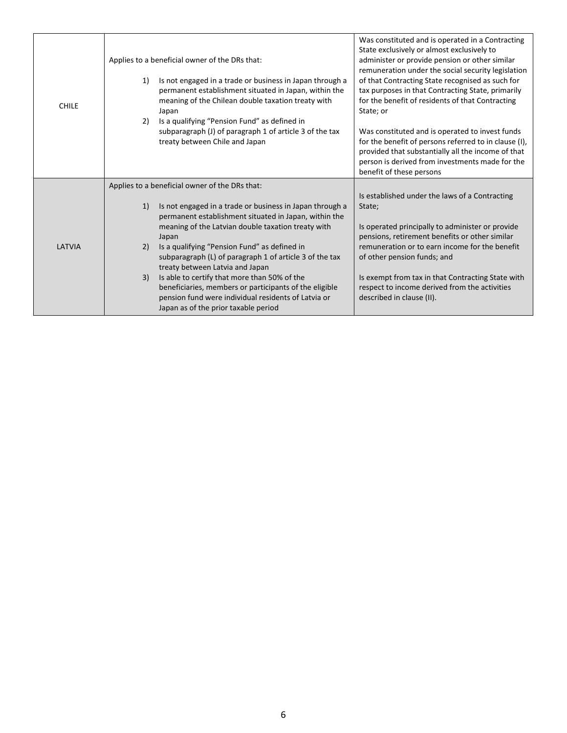| <b>CHILE</b> | Applies to a beneficial owner of the DRs that:<br>Is not engaged in a trade or business in Japan through a<br>1)<br>permanent establishment situated in Japan, within the<br>meaning of the Chilean double taxation treaty with<br>Japan<br>Is a qualifying "Pension Fund" as defined in<br>2)<br>subparagraph (J) of paragraph 1 of article 3 of the tax<br>treaty between Chile and Japan | Was constituted and is operated in a Contracting<br>State exclusively or almost exclusively to<br>administer or provide pension or other similar<br>remuneration under the social security legislation<br>of that Contracting State recognised as such for<br>tax purposes in that Contracting State, primarily<br>for the benefit of residents of that Contracting<br>State; or<br>Was constituted and is operated to invest funds<br>for the benefit of persons referred to in clause (I),<br>provided that substantially all the income of that<br>person is derived from investments made for the<br>benefit of these persons |
|--------------|---------------------------------------------------------------------------------------------------------------------------------------------------------------------------------------------------------------------------------------------------------------------------------------------------------------------------------------------------------------------------------------------|-----------------------------------------------------------------------------------------------------------------------------------------------------------------------------------------------------------------------------------------------------------------------------------------------------------------------------------------------------------------------------------------------------------------------------------------------------------------------------------------------------------------------------------------------------------------------------------------------------------------------------------|
|              | Applies to a beneficial owner of the DRs that:                                                                                                                                                                                                                                                                                                                                              |                                                                                                                                                                                                                                                                                                                                                                                                                                                                                                                                                                                                                                   |
|              | Is not engaged in a trade or business in Japan through a<br>1)<br>permanent establishment situated in Japan, within the                                                                                                                                                                                                                                                                     | Is established under the laws of a Contracting<br>State;                                                                                                                                                                                                                                                                                                                                                                                                                                                                                                                                                                          |
|              | meaning of the Latvian double taxation treaty with<br>Japan                                                                                                                                                                                                                                                                                                                                 | Is operated principally to administer or provide<br>pensions, retirement benefits or other similar                                                                                                                                                                                                                                                                                                                                                                                                                                                                                                                                |
| LATVIA       | Is a qualifying "Pension Fund" as defined in<br>2)<br>subparagraph (L) of paragraph 1 of article 3 of the tax<br>treaty between Latvia and Japan                                                                                                                                                                                                                                            | remuneration or to earn income for the benefit<br>of other pension funds; and                                                                                                                                                                                                                                                                                                                                                                                                                                                                                                                                                     |
|              | Is able to certify that more than 50% of the<br>3)<br>beneficiaries, members or participants of the eligible<br>pension fund were individual residents of Latvia or<br>Japan as of the prior taxable period                                                                                                                                                                                 | Is exempt from tax in that Contracting State with<br>respect to income derived from the activities<br>described in clause (II).                                                                                                                                                                                                                                                                                                                                                                                                                                                                                                   |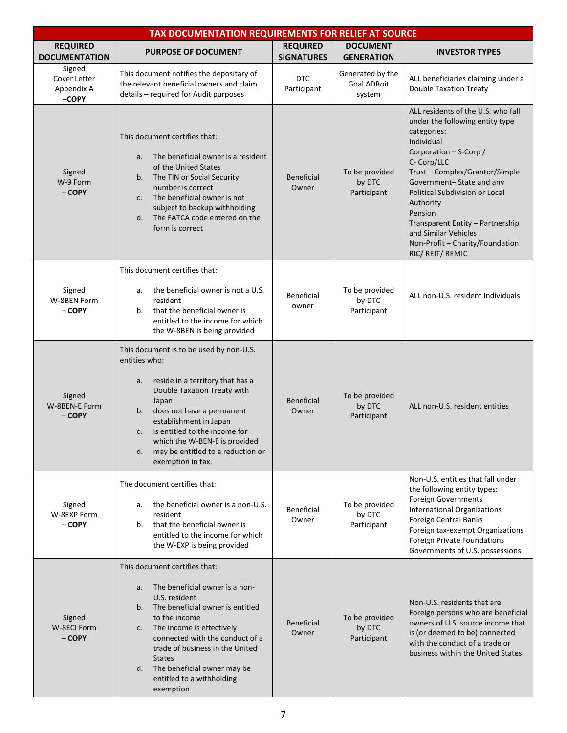|                                                 | TAX DOCUMENTATION REQUIREMENTS FOR RELIEF AT SOURCE                                                                                                                                                                                                                                                                                                        |                                      |                                                  |                                                                                                                                                                                                                                                                                                                                                                                      |
|-------------------------------------------------|------------------------------------------------------------------------------------------------------------------------------------------------------------------------------------------------------------------------------------------------------------------------------------------------------------------------------------------------------------|--------------------------------------|--------------------------------------------------|--------------------------------------------------------------------------------------------------------------------------------------------------------------------------------------------------------------------------------------------------------------------------------------------------------------------------------------------------------------------------------------|
| <b>REQUIRED</b><br><b>DOCUMENTATION</b>         | <b>PURPOSE OF DOCUMENT</b>                                                                                                                                                                                                                                                                                                                                 | <b>REQUIRED</b><br><b>SIGNATURES</b> | <b>DOCUMENT</b><br><b>GENERATION</b>             | <b>INVESTOR TYPES</b>                                                                                                                                                                                                                                                                                                                                                                |
| Signed<br>Cover Letter<br>Appendix A<br>$-COPY$ | This document notifies the depositary of<br>the relevant beneficial owners and claim<br>details - required for Audit purposes                                                                                                                                                                                                                              | <b>DTC</b><br>Participant            | Generated by the<br><b>Goal ADRoit</b><br>system | ALL beneficiaries claiming under a<br><b>Double Taxation Treaty</b>                                                                                                                                                                                                                                                                                                                  |
| Signed<br>W-9 Form<br>- COPY                    | This document certifies that:<br>The beneficial owner is a resident<br>a.<br>of the United States<br>The TIN or Social Security<br>b.<br>number is correct<br>The beneficial owner is not<br>c.<br>subject to backup withholding<br>The FATCA code entered on the<br>d.<br>form is correct                                                                 | <b>Beneficial</b><br>Owner           | To be provided<br>by DTC<br>Participant          | ALL residents of the U.S. who fall<br>under the following entity type<br>categories:<br>Individual<br>Corporation - S-Corp /<br>C- Corp/LLC<br>Trust - Complex/Grantor/Simple<br>Government-State and any<br>Political Subdivision or Local<br>Authority<br>Pension<br>Transparent Entity - Partnership<br>and Similar Vehicles<br>Non-Profit - Charity/Foundation<br>RIC/REIT/REMIC |
| Signed<br>W-8BEN Form<br>- COPY                 | This document certifies that:<br>the beneficial owner is not a U.S.<br>a.<br>resident<br>that the beneficial owner is<br>b.<br>entitled to the income for which<br>the W-8BEN is being provided                                                                                                                                                            | Beneficial<br>owner                  | To be provided<br>by DTC<br>Participant          | ALL non-U.S. resident Individuals                                                                                                                                                                                                                                                                                                                                                    |
| Signed<br>W-8BEN-E Form<br>$-$ COPY             | This document is to be used by non-U.S.<br>entities who:<br>reside in a territory that has a<br>a.<br>Double Taxation Treaty with<br>Japan<br>does not have a permanent<br>b.<br>establishment in Japan<br>is entitled to the income for<br>c.<br>which the W-BEN-E is provided<br>may be entitled to a reduction or<br>d.<br>exemption in tax.            | <b>Beneficial</b><br>Owner           | To be provided<br>by DTC<br>Participant          | ALL non-U.S. resident entities                                                                                                                                                                                                                                                                                                                                                       |
| Signed<br>W-8EXP Form<br>$-$ COPY               | The document certifies that:<br>the beneficial owner is a non-U.S.<br>а.<br>resident<br>that the beneficial owner is<br>b.<br>entitled to the income for which<br>the W-EXP is being provided                                                                                                                                                              | Beneficial<br>Owner                  | To be provided<br>by DTC<br>Participant          | Non-U.S. entities that fall under<br>the following entity types:<br>Foreign Governments<br><b>International Organizations</b><br><b>Foreign Central Banks</b><br>Foreign tax-exempt Organizations<br>Foreign Private Foundations<br>Governments of U.S. possessions                                                                                                                  |
| Signed<br>W-8ECI Form<br>- COPY                 | This document certifies that:<br>The beneficial owner is a non-<br>a.<br>U.S. resident<br>The beneficial owner is entitled<br>b.<br>to the income<br>The income is effectively<br>c.<br>connected with the conduct of a<br>trade of business in the United<br><b>States</b><br>The beneficial owner may be<br>d.<br>entitled to a withholding<br>exemption | <b>Beneficial</b><br>Owner           | To be provided<br>by DTC<br>Participant          | Non-U.S. residents that are<br>Foreign persons who are beneficial<br>owners of U.S. source income that<br>is (or deemed to be) connected<br>with the conduct of a trade or<br>business within the United States                                                                                                                                                                      |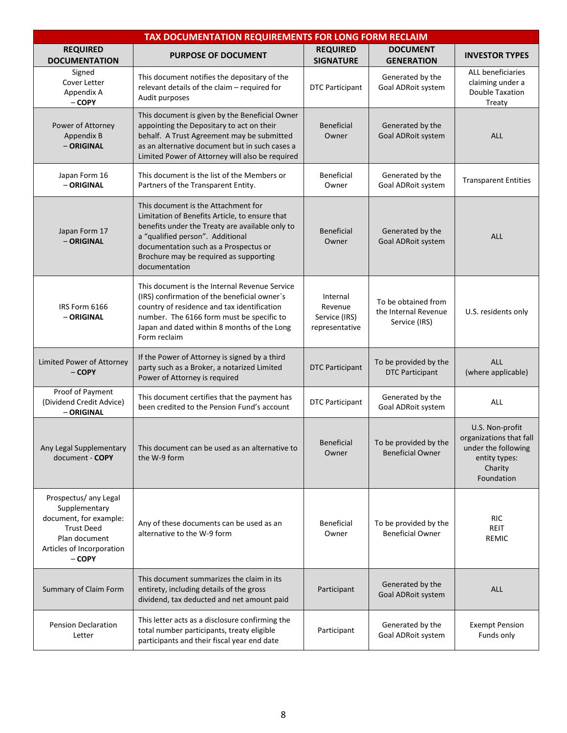| TAX DOCUMENTATION REQUIREMENTS FOR LONG FORM RECLAIM                                                                                            |                                                                                                                                                                                                                                                                                  |                                                        |                                                              |                                                                                                             |
|-------------------------------------------------------------------------------------------------------------------------------------------------|----------------------------------------------------------------------------------------------------------------------------------------------------------------------------------------------------------------------------------------------------------------------------------|--------------------------------------------------------|--------------------------------------------------------------|-------------------------------------------------------------------------------------------------------------|
| <b>REQUIRED</b><br><b>DOCUMENTATION</b>                                                                                                         | <b>PURPOSE OF DOCUMENT</b>                                                                                                                                                                                                                                                       | <b>REQUIRED</b><br><b>SIGNATURE</b>                    | <b>DOCUMENT</b><br><b>GENERATION</b>                         | <b>INVESTOR TYPES</b>                                                                                       |
| Signed<br>Cover Letter<br>Appendix A<br>- COPY                                                                                                  | This document notifies the depositary of the<br>relevant details of the claim - required for<br>Audit purposes                                                                                                                                                                   | <b>DTC Participant</b>                                 | Generated by the<br>Goal ADRoit system                       | ALL beneficiaries<br>claiming under a<br><b>Double Taxation</b><br>Treaty                                   |
| Power of Attorney<br>Appendix B<br>- ORIGINAL                                                                                                   | This document is given by the Beneficial Owner<br>appointing the Depositary to act on their<br>behalf. A Trust Agreement may be submitted<br>as an alternative document but in such cases a<br>Limited Power of Attorney will also be required                                   | <b>Beneficial</b><br>Owner                             | Generated by the<br>Goal ADRoit system                       | <b>ALL</b>                                                                                                  |
| Japan Form 16<br>- ORIGINAL                                                                                                                     | This document is the list of the Members or<br>Partners of the Transparent Entity.                                                                                                                                                                                               | <b>Beneficial</b><br>Owner                             | Generated by the<br>Goal ADRoit system                       | <b>Transparent Entities</b>                                                                                 |
| Japan Form 17<br>- ORIGINAL                                                                                                                     | This document is the Attachment for<br>Limitation of Benefits Article, to ensure that<br>benefits under the Treaty are available only to<br>a "qualified person". Additional<br>documentation such as a Prospectus or<br>Brochure may be required as supporting<br>documentation | <b>Beneficial</b><br>Owner                             | Generated by the<br>Goal ADRoit system                       | ALL                                                                                                         |
| IRS Form 6166<br>- ORIGINAL                                                                                                                     | This document is the Internal Revenue Service<br>(IRS) confirmation of the beneficial owner's<br>country of residence and tax identification<br>number. The 6166 form must be specific to<br>Japan and dated within 8 months of the Long<br>Form reclaim                         | Internal<br>Revenue<br>Service (IRS)<br>representative | To be obtained from<br>the Internal Revenue<br>Service (IRS) | U.S. residents only                                                                                         |
| Limited Power of Attorney<br>- COPY                                                                                                             | If the Power of Attorney is signed by a third<br>party such as a Broker, a notarized Limited<br>Power of Attorney is required                                                                                                                                                    | <b>DTC Participant</b>                                 | To be provided by the<br><b>DTC Participant</b>              | <b>ALL</b><br>(where applicable)                                                                            |
| Proof of Payment<br>(Dividend Credit Advice)<br>- ORIGINAL                                                                                      | This document certifies that the payment has<br>been credited to the Pension Fund's account                                                                                                                                                                                      | <b>DTC Participant</b>                                 | Generated by the<br>Goal ADRoit system                       | ALL                                                                                                         |
| Any Legal Supplementary<br>document - COPY                                                                                                      | This document can be used as an alternative to<br>the W-9 form                                                                                                                                                                                                                   | <b>Beneficial</b><br>Owner                             | To be provided by the<br><b>Beneficial Owner</b>             | U.S. Non-profit<br>organizations that fall<br>under the following<br>entity types:<br>Charity<br>Foundation |
| Prospectus/ any Legal<br>Supplementary<br>document, for example:<br><b>Trust Deed</b><br>Plan document<br>Articles of Incorporation<br>$-$ COPY | Any of these documents can be used as an<br>alternative to the W-9 form                                                                                                                                                                                                          | <b>Beneficial</b><br>Owner                             | To be provided by the<br><b>Beneficial Owner</b>             | <b>RIC</b><br>REIT<br><b>REMIC</b>                                                                          |
| Summary of Claim Form                                                                                                                           | This document summarizes the claim in its<br>entirety, including details of the gross<br>dividend, tax deducted and net amount paid                                                                                                                                              | Participant                                            | Generated by the<br>Goal ADRoit system                       | <b>ALL</b>                                                                                                  |
| <b>Pension Declaration</b><br>Letter                                                                                                            | This letter acts as a disclosure confirming the<br>total number participants, treaty eligible<br>participants and their fiscal year end date                                                                                                                                     | Participant                                            | Generated by the<br>Goal ADRoit system                       | <b>Exempt Pension</b><br>Funds only                                                                         |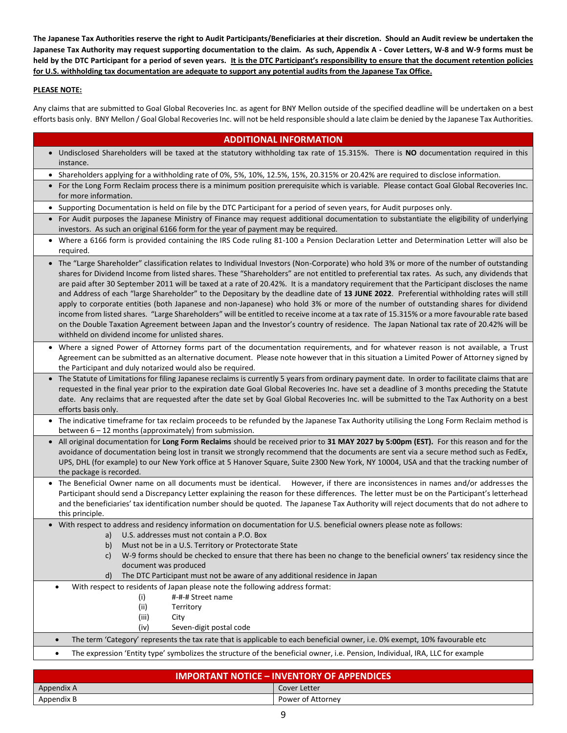**The Japanese Tax Authorities reserve the right to Audit Participants/Beneficiaries at their discretion. Should an Audit review be undertaken the Japanese Tax Authority may request supporting documentation to the claim. As such, Appendix A - Cover Letters, W-8 and W-9 forms must be held by the DTC Participant for a period of seven years. It is the DTC Participant's responsibility to ensure that the document retention policies for U.S. withholding tax documentation are adequate to support any potential audits from the Japanese Tax Office.**

## **PLEASE NOTE:**

┠

Any claims that are submitted to Goal Global Recoveries Inc. as agent for BNY Mellon outside of the specified deadline will be undertaken on a best efforts basis only. BNY Mellon / Goal Global Recoveries Inc. will not be held responsible should a late claim be denied by the Japanese Tax Authorities.

| <b>ADDITIONAL INFORMATION</b>                                                                                                                                                                                                                                                                                                                                                                                                                                                                                                                                                                                                                                                                                                                                                                                                                                                                                                                                                                                                                                       |
|---------------------------------------------------------------------------------------------------------------------------------------------------------------------------------------------------------------------------------------------------------------------------------------------------------------------------------------------------------------------------------------------------------------------------------------------------------------------------------------------------------------------------------------------------------------------------------------------------------------------------------------------------------------------------------------------------------------------------------------------------------------------------------------------------------------------------------------------------------------------------------------------------------------------------------------------------------------------------------------------------------------------------------------------------------------------|
| . Undisclosed Shareholders will be taxed at the statutory withholding tax rate of 15.315%. There is NO documentation required in this<br>instance.                                                                                                                                                                                                                                                                                                                                                                                                                                                                                                                                                                                                                                                                                                                                                                                                                                                                                                                  |
| • Shareholders applying for a withholding rate of 0%, 5%, 10%, 12.5%, 15%, 20.315% or 20.42% are required to disclose information.                                                                                                                                                                                                                                                                                                                                                                                                                                                                                                                                                                                                                                                                                                                                                                                                                                                                                                                                  |
| • For the Long Form Reclaim process there is a minimum position prerequisite which is variable. Please contact Goal Global Recoveries Inc.<br>for more information.                                                                                                                                                                                                                                                                                                                                                                                                                                                                                                                                                                                                                                                                                                                                                                                                                                                                                                 |
| • Supporting Documentation is held on file by the DTC Participant for a period of seven years, for Audit purposes only.                                                                                                                                                                                                                                                                                                                                                                                                                                                                                                                                                                                                                                                                                                                                                                                                                                                                                                                                             |
| • For Audit purposes the Japanese Ministry of Finance may request additional documentation to substantiate the eligibility of underlying<br>investors. As such an original 6166 form for the year of payment may be required.                                                                                                                                                                                                                                                                                                                                                                                                                                                                                                                                                                                                                                                                                                                                                                                                                                       |
| • Where a 6166 form is provided containing the IRS Code ruling 81-100 a Pension Declaration Letter and Determination Letter will also be<br>required.                                                                                                                                                                                                                                                                                                                                                                                                                                                                                                                                                                                                                                                                                                                                                                                                                                                                                                               |
| • The "Large Shareholder" classification relates to Individual Investors (Non-Corporate) who hold 3% or more of the number of outstanding<br>shares for Dividend Income from listed shares. These "Shareholders" are not entitled to preferential tax rates. As such, any dividends that<br>are paid after 30 September 2011 will be taxed at a rate of 20.42%. It is a mandatory requirement that the Participant discloses the name<br>and Address of each "large Shareholder" to the Depositary by the deadline date of 13 JUNE 2022. Preferential withholding rates will still<br>apply to corporate entities (both Japanese and non-Japanese) who hold 3% or more of the number of outstanding shares for dividend<br>income from listed shares. "Large Shareholders" will be entitled to receive income at a tax rate of 15.315% or a more favourable rate based<br>on the Double Taxation Agreement between Japan and the Investor's country of residence. The Japan National tax rate of 20.42% will be<br>withheld on dividend income for unlisted shares. |
| • Where a signed Power of Attorney forms part of the documentation requirements, and for whatever reason is not available, a Trust<br>Agreement can be submitted as an alternative document. Please note however that in this situation a Limited Power of Attorney signed by<br>the Participant and duly notarized would also be required.                                                                                                                                                                                                                                                                                                                                                                                                                                                                                                                                                                                                                                                                                                                         |
| • The Statute of Limitations for filing Japanese reclaims is currently 5 years from ordinary payment date. In order to facilitate claims that are<br>requested in the final year prior to the expiration date Goal Global Recoveries Inc. have set a deadline of 3 months preceding the Statute<br>date. Any reclaims that are requested after the date set by Goal Global Recoveries Inc. will be submitted to the Tax Authority on a best<br>efforts basis only.                                                                                                                                                                                                                                                                                                                                                                                                                                                                                                                                                                                                  |
| • The indicative timeframe for tax reclaim proceeds to be refunded by the Japanese Tax Authority utilising the Long Form Reclaim method is<br>between $6 - 12$ months (approximately) from submission.                                                                                                                                                                                                                                                                                                                                                                                                                                                                                                                                                                                                                                                                                                                                                                                                                                                              |
| • All original documentation for Long Form Reclaims should be received prior to 31 MAY 2027 by 5:00pm (EST). For this reason and for the<br>avoidance of documentation being lost in transit we strongly recommend that the documents are sent via a secure method such as FedEx,<br>UPS, DHL (for example) to our New York office at 5 Hanover Square, Suite 2300 New York, NY 10004, USA and that the tracking number of<br>the package is recorded.                                                                                                                                                                                                                                                                                                                                                                                                                                                                                                                                                                                                              |
| The Beneficial Owner name on all documents must be identical. However, if there are inconsistences in names and/or addresses the<br>Participant should send a Discrepancy Letter explaining the reason for these differences. The letter must be on the Participant's letterhead<br>and the beneficiaries' tax identification number should be quoted. The Japanese Tax Authority will reject documents that do not adhere to<br>this principle.                                                                                                                                                                                                                                                                                                                                                                                                                                                                                                                                                                                                                    |
| • With respect to address and residency information on documentation for U.S. beneficial owners please note as follows:<br>U.S. addresses must not contain a P.O. Box<br>a)<br>b) Must not be in a U.S. Territory or Protectorate State<br>W-9 forms should be checked to ensure that there has been no change to the beneficial owners' tax residency since the<br>C)<br>document was produced<br>The DTC Participant must not be aware of any additional residence in Japan<br>$\mathsf{d}$                                                                                                                                                                                                                                                                                                                                                                                                                                                                                                                                                                       |
| With respect to residents of Japan please note the following address format:<br>$\bullet$                                                                                                                                                                                                                                                                                                                                                                                                                                                                                                                                                                                                                                                                                                                                                                                                                                                                                                                                                                           |
| #-#-# Street name<br>(i)                                                                                                                                                                                                                                                                                                                                                                                                                                                                                                                                                                                                                                                                                                                                                                                                                                                                                                                                                                                                                                            |
| (ii)<br>Territory                                                                                                                                                                                                                                                                                                                                                                                                                                                                                                                                                                                                                                                                                                                                                                                                                                                                                                                                                                                                                                                   |
| (iii)<br>City                                                                                                                                                                                                                                                                                                                                                                                                                                                                                                                                                                                                                                                                                                                                                                                                                                                                                                                                                                                                                                                       |
| Seven-digit postal code<br>(iv)                                                                                                                                                                                                                                                                                                                                                                                                                                                                                                                                                                                                                                                                                                                                                                                                                                                                                                                                                                                                                                     |
| The term 'Category' represents the tax rate that is applicable to each beneficial owner, i.e. 0% exempt, 10% favourable etc<br>$\bullet$                                                                                                                                                                                                                                                                                                                                                                                                                                                                                                                                                                                                                                                                                                                                                                                                                                                                                                                            |
| The expression 'Entity type' symbolizes the structure of the beneficial owner, i.e. Pension, Individual, IRA, LLC for example<br>$\bullet$                                                                                                                                                                                                                                                                                                                                                                                                                                                                                                                                                                                                                                                                                                                                                                                                                                                                                                                          |
| IMDODTANIT NOTICE INVENITORY OF ADDENINICES                                                                                                                                                                                                                                                                                                                                                                                                                                                                                                                                                                                                                                                                                                                                                                                                                                                                                                                                                                                                                         |

| <b>IMPORTANT NOTICE – INVENTORY OF APPENDICES</b> |                   |  |
|---------------------------------------------------|-------------------|--|
| Appendix A                                        | Cover Letter      |  |
| Appendix B                                        | Power of Attorney |  |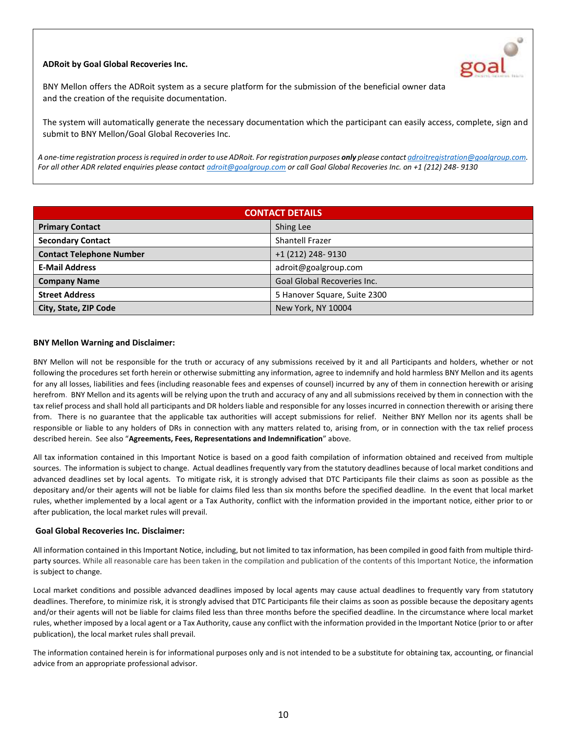# **ADRoit by Goal Global Recoveries Inc.**



BNY Mellon offers the ADRoit system as a secure platform for the submission of the beneficial owner data and the creation of the requisite documentation.

The system will automatically generate the necessary documentation which the participant can easily access, complete, sign and submit to BNY Mellon/Goal Global Recoveries Inc.

*A one-time registration process is required in order to use ADRoit. For registration purposes only please contac[t adroitregistration@goalgroup.com.](mailto:adroitregistration@goalgroup.com) For all other ADR related enquiries please contac[t adroit@goalgroup.com](mailto:adroit@goalgroup.com) or call Goal Global Recoveries Inc. on +1 (212) 248- 9130*

| <b>CONTACT DETAILS</b>          |                              |  |
|---------------------------------|------------------------------|--|
| <b>Primary Contact</b>          | Shing Lee                    |  |
| <b>Secondary Contact</b>        | <b>Shantell Frazer</b>       |  |
| <b>Contact Telephone Number</b> | +1 (212) 248-9130            |  |
| <b>E-Mail Address</b>           | adroit@goalgroup.com         |  |
| <b>Company Name</b>             | Goal Global Recoveries Inc.  |  |
| <b>Street Address</b>           | 5 Hanover Square, Suite 2300 |  |
| City, State, ZIP Code           | New York, NY 10004           |  |

#### **BNY Mellon Warning and Disclaimer:**

BNY Mellon will not be responsible for the truth or accuracy of any submissions received by it and all Participants and holders, whether or not following the procedures set forth herein or otherwise submitting any information, agree to indemnify and hold harmless BNY Mellon and its agents for any all losses, liabilities and fees (including reasonable fees and expenses of counsel) incurred by any of them in connection herewith or arising herefrom. BNY Mellon and its agents will be relying upon the truth and accuracy of any and all submissions received by them in connection with the tax relief process and shall hold all participants and DR holders liable and responsible for any losses incurred in connection therewith or arising there from. There is no guarantee that the applicable tax authorities will accept submissions for relief. Neither BNY Mellon nor its agents shall be responsible or liable to any holders of DRs in connection with any matters related to, arising from, or in connection with the tax relief process described herein. See also "**Agreements, Fees, Representations and Indemnification**" above.

All tax information contained in this Important Notice is based on a good faith compilation of information obtained and received from multiple sources. The information is subject to change. Actual deadlines frequently vary from the statutory deadlines because of local market conditions and advanced deadlines set by local agents. To mitigate risk, it is strongly advised that DTC Participants file their claims as soon as possible as the depositary and/or their agents will not be liable for claims filed less than six months before the specified deadline. In the event that local market rules, whether implemented by a local agent or a Tax Authority, conflict with the information provided in the important notice, either prior to or after publication, the local market rules will prevail.

#### **Goal Global Recoveries Inc. Disclaimer:**

All information contained in this Important Notice, including, but not limited to tax information, has been compiled in good faith from multiple thirdparty sources. While all reasonable care has been taken in the compilation and publication of the contents of this Important Notice, the information is subject to change.

Local market conditions and possible advanced deadlines imposed by local agents may cause actual deadlines to frequently vary from statutory deadlines. Therefore, to minimize risk, it is strongly advised that DTC Participants file their claims as soon as possible because the depositary agents and/or their agents will not be liable for claims filed less than three months before the specified deadline. In the circumstance where local market rules, whether imposed by a local agent or a Tax Authority, cause any conflict with the information provided in the Important Notice (prior to or after publication), the local market rules shall prevail.

The information contained herein is for informational purposes only and is not intended to be a substitute for obtaining tax, accounting, or financial advice from an appropriate professional advisor.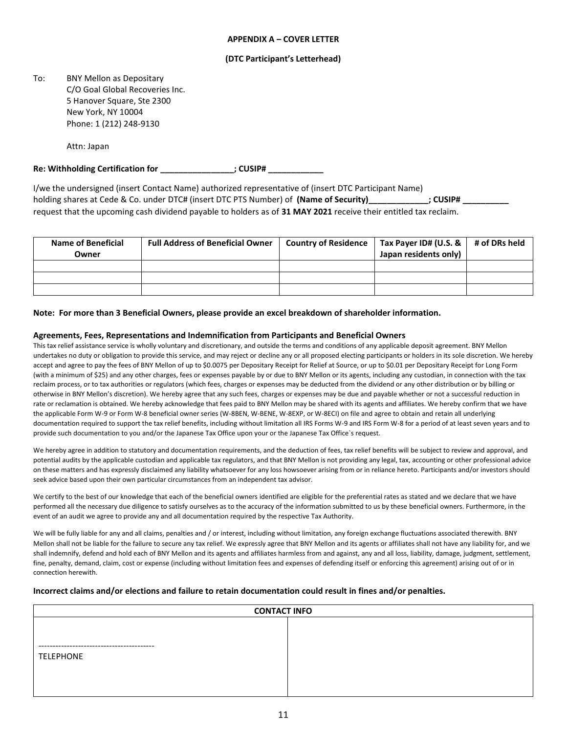#### **APPENDIX A – COVER LETTER**

#### **(DTC Participant's Letterhead)**

To: BNY Mellon as Depositary C/O Goal Global Recoveries Inc. 5 Hanover Square, Ste 2300 New York, NY 10004 Phone: 1 (212) 248-9130

Attn: Japan

**Re: Withholding Certification for \_\_\_\_\_\_\_\_\_\_\_\_\_\_\_\_; CUSIP# \_\_\_\_\_\_\_\_\_\_\_\_**

I/we the undersigned (insert Contact Name) authorized representative of (insert DTC Participant Name) holding shares at Cede & Co. under DTC# (insert DTC PTS Number) of **(Name of Security) EXECUSIP#** ; CUSIP# request that the upcoming cash dividend payable to holders as of **31 MAY 2021** receive their entitled tax reclaim.

| <b>Name of Beneficial</b><br>Owner | <b>Full Address of Beneficial Owner</b> | Country of Residence   Tax Payer ID# (U.S. &  <br>Japan residents only) | # of DRs held |
|------------------------------------|-----------------------------------------|-------------------------------------------------------------------------|---------------|
|                                    |                                         |                                                                         |               |
|                                    |                                         |                                                                         |               |
|                                    |                                         |                                                                         |               |

#### **Note: For more than 3 Beneficial Owners, please provide an excel breakdown of shareholder information.**

#### **Agreements, Fees, Representations and Indemnification from Participants and Beneficial Owners**

This tax relief assistance service is wholly voluntary and discretionary, and outside the terms and conditions of any applicable deposit agreement. BNY Mellon undertakes no duty or obligation to provide this service, and may reject or decline any or all proposed electing participants or holders in its sole discretion. We hereby accept and agree to pay the fees of BNY Mellon of up to \$0.0075 per Depositary Receipt for Relief at Source, or up to \$0.01 per Depositary Receipt for Long Form (with a minimum of \$25) and any other charges, fees or expenses payable by or due to BNY Mellon or its agents, including any custodian, in connection with the tax reclaim process, or to tax authorities or regulators (which fees, charges or expenses may be deducted from the dividend or any other distribution or by billing or otherwise in BNY Mellon's discretion). We hereby agree that any such fees, charges or expenses may be due and payable whether or not a successful reduction in rate or reclamation is obtained. We hereby acknowledge that fees paid to BNY Mellon may be shared with its agents and affiliates. We hereby confirm that we have the applicable Form W-9 or Form W-8 beneficial owner series (W-8BEN, W-BENE, W-8EXP, or W-8ECI) on file and agree to obtain and retain all underlying documentation required to support the tax relief benefits, including without limitation all IRS Forms W-9 and IRS Form W-8 for a period of at least seven years and to provide such documentation to you and/or the Japanese Tax Office upon your or the Japanese Tax Office`s request.

We hereby agree in addition to statutory and documentation requirements, and the deduction of fees, tax relief benefits will be subject to review and approval, and potential audits by the applicable custodian and applicable tax regulators, and that BNY Mellon is not providing any legal, tax, accounting or other professional advice on these matters and has expressly disclaimed any liability whatsoever for any loss howsoever arising from or in reliance hereto. Participants and/or investors should seek advice based upon their own particular circumstances from an independent tax advisor.

We certify to the best of our knowledge that each of the beneficial owners identified are eligible for the preferential rates as stated and we declare that we have performed all the necessary due diligence to satisfy ourselves as to the accuracy of the information submitted to us by these beneficial owners. Furthermore, in the event of an audit we agree to provide any and all documentation required by the respective Tax Authority.

We will be fully liable for any and all claims, penalties and / or interest, including without limitation, any foreign exchange fluctuations associated therewith. BNY Mellon shall not be liable for the failure to secure any tax relief. We expressly agree that BNY Mellon and its agents or affiliates shall not have any liability for, and we shall indemnify, defend and hold each of BNY Mellon and its agents and affiliates harmless from and against, any and all loss, liability, damage, judgment, settlement, fine, penalty, demand, claim, cost or expense (including without limitation fees and expenses of defending itself or enforcing this agreement) arising out of or in connection herewith.

#### **Incorrect claims and/or elections and failure to retain documentation could result in fines and/or penalties.**

| <b>CONTACT INFO</b>                           |  |  |  |
|-----------------------------------------------|--|--|--|
|                                               |  |  |  |
|                                               |  |  |  |
| .________________________<br><b>TELEPHONE</b> |  |  |  |
|                                               |  |  |  |
|                                               |  |  |  |
|                                               |  |  |  |